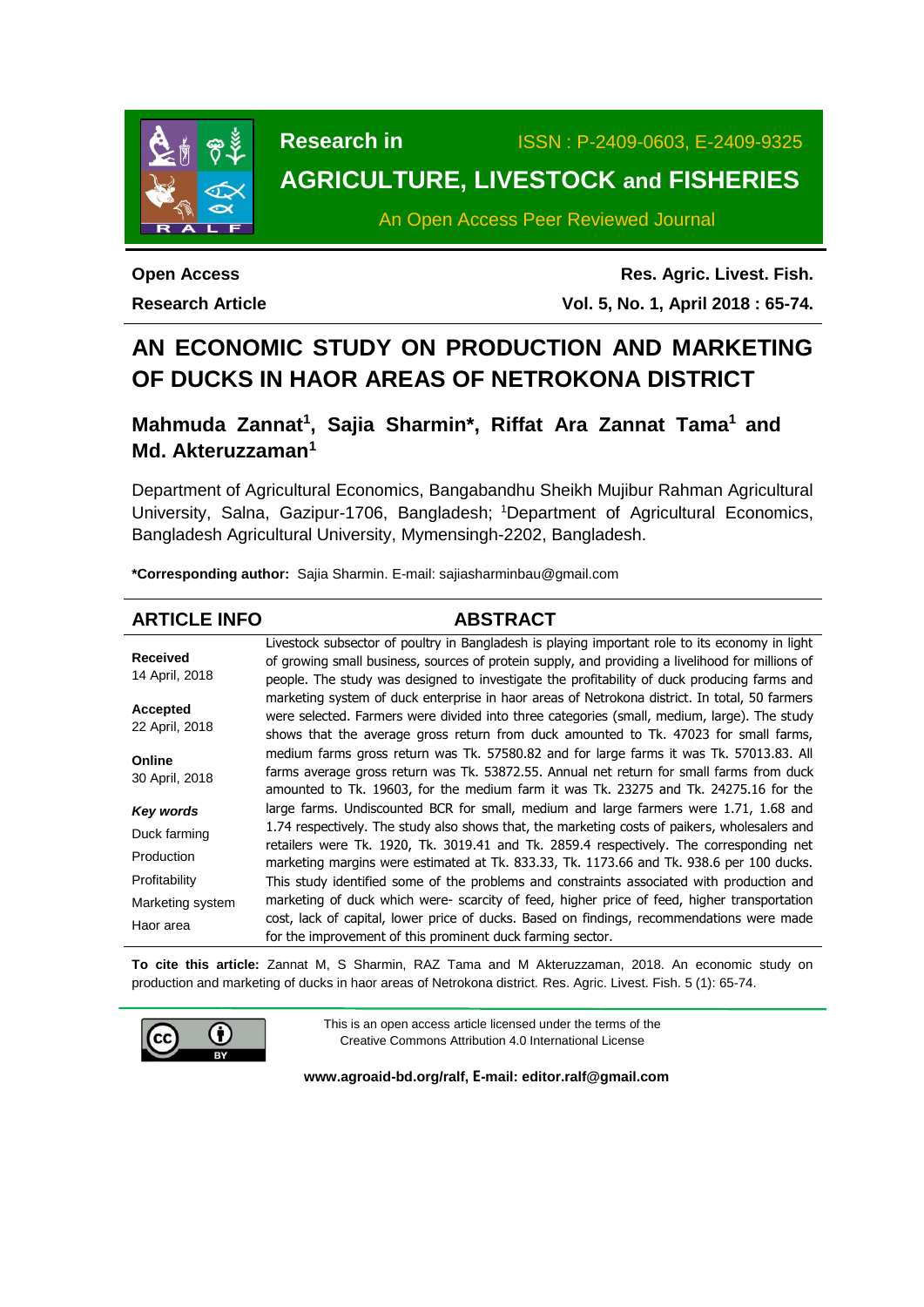

**Research in** ISSN : P-2409-0603, E-2409-9325

# **AGRICULTURE, LIVESTOCK and FISHERIES**

An Open Access Peer Reviewed Journal

**Open Access Research Article**

**Res. Agric. Livest. Fish. Vol. 5, No. 1, April 2018 : 65-74.**

# **AN ECONOMIC STUDY ON PRODUCTION AND MARKETING OF DUCKS IN HAOR AREAS OF NETROKONA DISTRICT**

**Mahmuda Zannat<sup>1</sup> , Sajia Sharmin\*, Riffat Ara Zannat Tama<sup>1</sup> and Md. Akteruzzaman<sup>1</sup>**

Department of Agricultural Economics, Bangabandhu Sheikh Mujibur Rahman Agricultural University, Salna, Gazipur-1706, Bangladesh; <sup>1</sup>Department of Agricultural Economics, Bangladesh Agricultural University, Mymensingh-2202, Bangladesh.

**\*Corresponding author:** Sajia Sharmin. E-mail: sajiasharminbau@gmail.com

## **ARTICLE INFO ABSTRACT**

**Received** 14 April, 2018 **Accepted** 22 April, 2018 **Online** 30 April, 2018 *Key words* Duck farming Production Profitability Marketing system Haor area Livestock subsector of poultry in Bangladesh is playing important role to its economy in light of growing small business, sources of protein supply, and providing a livelihood for millions of people. The study was designed to investigate the profitability of duck producing farms and marketing system of duck enterprise in haor areas of Netrokona district. In total, 50 farmers were selected. Farmers were divided into three categories (small, medium, large). The study shows that the average gross return from duck amounted to Tk. 47023 for small farms, medium farms gross return was Tk. 57580.82 and for large farms it was Tk. 57013.83. All farms average gross return was Tk. 53872.55. Annual net return for small farms from duck amounted to Tk. 19603, for the medium farm it was Tk. 23275 and Tk. 24275.16 for the large farms. Undiscounted BCR for small, medium and large farmers were 1.71, 1.68 and 1.74 respectively. The study also shows that, the marketing costs of paikers, wholesalers and retailers were Tk. 1920, Tk. 3019.41 and Tk. 2859.4 respectively. The corresponding net marketing margins were estimated at Tk. 833.33, Tk. 1173.66 and Tk. 938.6 per 100 ducks. This study identified some of the problems and constraints associated with production and marketing of duck which were- scarcity of feed, higher price of feed, higher transportation cost, lack of capital, lower price of ducks. Based on findings, recommendations were made for the improvement of this prominent duck farming sector.

**To cite this article:** Zannat M, S Sharmin, RAZ Tama and M Akteruzzaman, 2018. An economic study on production and marketing of ducks in haor areas of Netrokona district. Res. Agric. Livest. Fish. 5 (1): 65-74.



This is an open access article licensed under the terms of the Creative Commons Attribution 4.0 International License

**[www.agroaid-bd.org/ralf,](http://www.agroaid-bd.org/ralf) E-mail: [editor.ralf@gmail.com](mailto:editor.ralf@gmail.com)**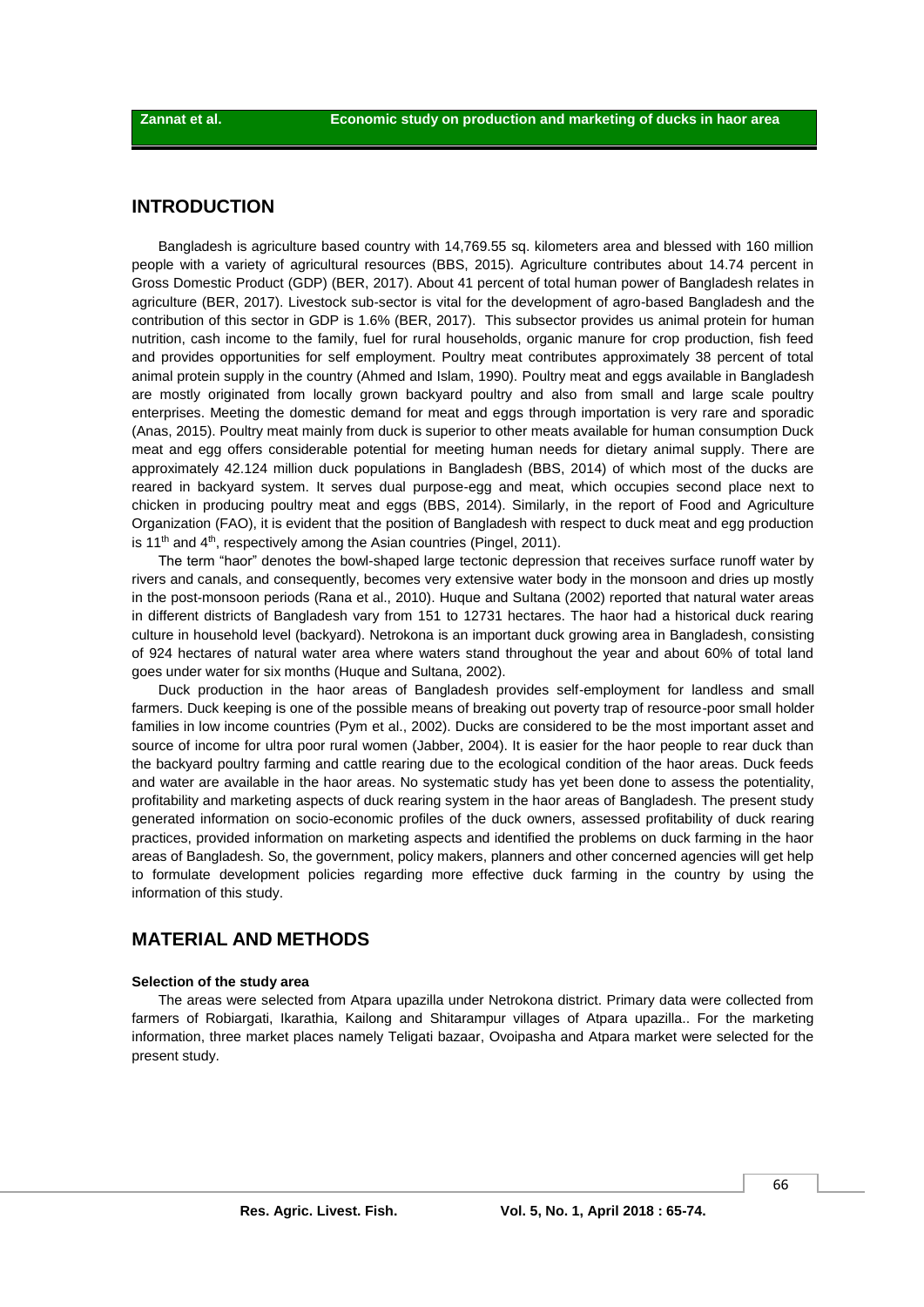## **INTRODUCTION**

Bangladesh is agriculture based country with 14,769.55 sq. kilometers area and blessed with 160 million people with a variety of agricultural resources (BBS, 2015). Agriculture contributes about 14.74 percent in Gross Domestic Product (GDP) (BER, 2017). About 41 percent of total human power of Bangladesh relates in agriculture (BER, 2017). Livestock sub-sector is vital for the development of agro-based Bangladesh and the contribution of this sector in GDP is 1.6% (BER, 2017). This subsector provides us animal protein for human nutrition, cash income to the family, fuel for rural households, organic manure for crop production, fish feed and provides opportunities for self employment. Poultry meat contributes approximately 38 percent of total animal protein supply in the country (Ahmed and Islam, 1990). Poultry meat and eggs available in Bangladesh are mostly originated from locally grown backyard poultry and also from small and large scale poultry enterprises. Meeting the domestic demand for meat and eggs through importation is very rare and sporadic (Anas, 2015). Poultry meat mainly from duck is superior to other meats available for human consumption Duck meat and egg offers considerable potential for meeting human needs for dietary animal supply. There are approximately 42.124 million duck populations in Bangladesh (BBS, 2014) of which most of the ducks are reared in backyard system. It serves dual purpose-egg and meat, which occupies second place next to chicken in producing poultry meat and eggs (BBS, 2014). Similarly, in the report of Food and Agriculture Organization (FAO), it is evident that the position of Bangladesh with respect to duck meat and egg production is  $11<sup>th</sup>$  and  $4<sup>th</sup>$ , respectively among the Asian countries (Pingel, 2011).

The term "haor" denotes the bowl-shaped large tectonic depression that receives surface runoff water by rivers and canals, and consequently, becomes very extensive water body in the monsoon and dries up mostly in the post-monsoon periods (Rana et al., 2010). Huque and Sultana (2002) reported that natural water areas in different districts of Bangladesh vary from 151 to 12731 hectares. The haor had a historical duck rearing culture in household level (backyard). Netrokona is an important duck growing area in Bangladesh, consisting of 924 hectares of natural water area where waters stand throughout the year and about 60% of total land goes under water for six months (Huque and Sultana, 2002).

Duck production in the haor areas of Bangladesh provides self-employment for landless and small farmers. Duck keeping is one of the possible means of breaking out poverty trap of resource-poor small holder families in low income countries (Pym et al., 2002). Ducks are considered to be the most important asset and source of income for ultra poor rural women (Jabber, 2004). It is easier for the haor people to rear duck than the backyard poultry farming and cattle rearing due to the ecological condition of the haor areas. Duck feeds and water are available in the haor areas. No systematic study has yet been done to assess the potentiality, profitability and marketing aspects of duck rearing system in the haor areas of Bangladesh. The present study generated information on socio-economic profiles of the duck owners, assessed profitability of duck rearing practices, provided information on marketing aspects and identified the problems on duck farming in the haor areas of Bangladesh. So, the government, policy makers, planners and other concerned agencies will get help to formulate development policies regarding more effective duck farming in the country by using the information of this study.

## **MATERIAL AND METHODS**

#### **Selection of the study area**

The areas were selected from Atpara upazilla under Netrokona district. Primary data were collected from farmers of Robiargati, Ikarathia, Kailong and Shitarampur villages of Atpara upazilla.. For the marketing information, three market places namely Teligati bazaar, Ovoipasha and Atpara market were selected for the present study.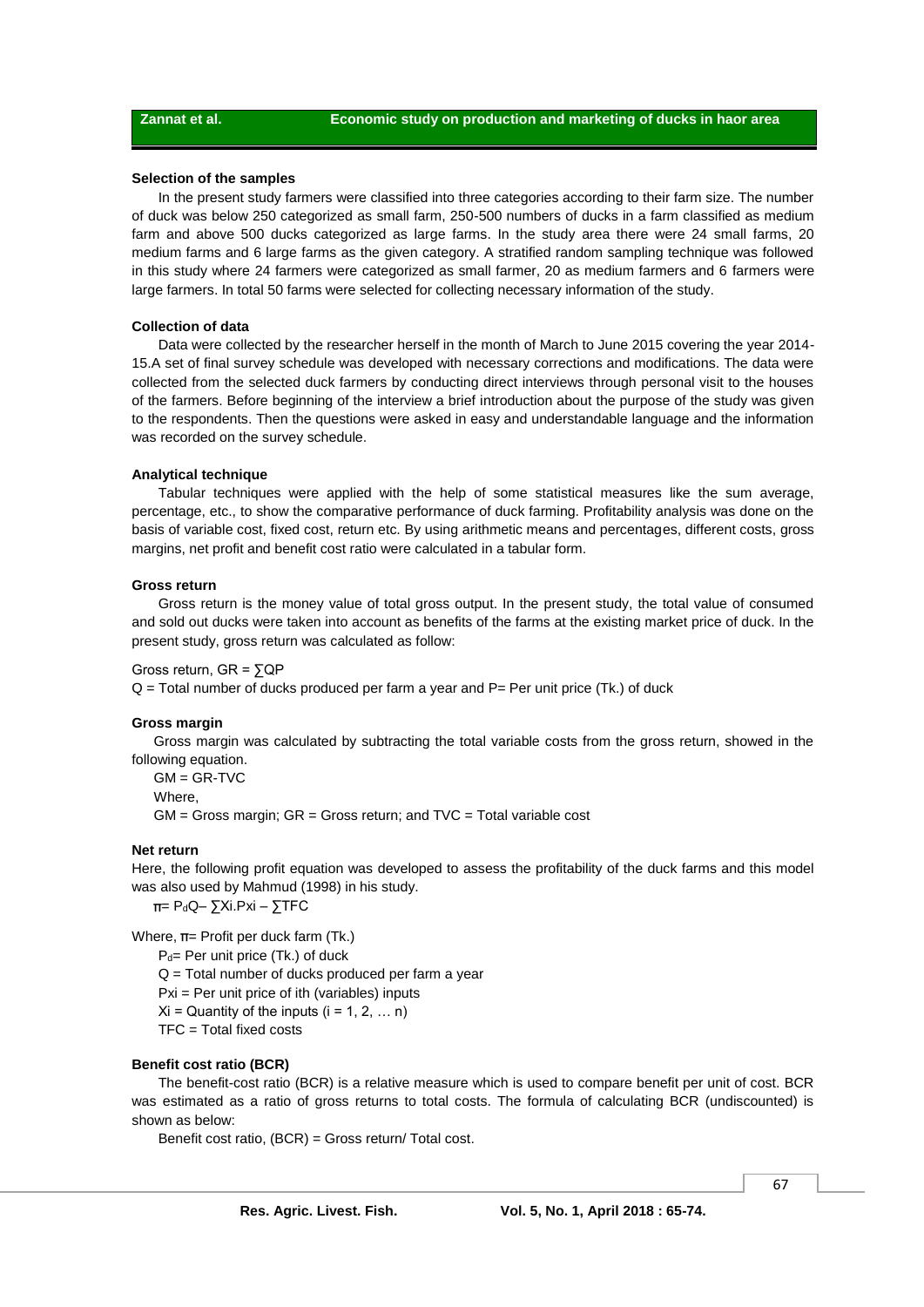#### **Selection of the samples**

In the present study farmers were classified into three categories according to their farm size. The number of duck was below 250 categorized as small farm, 250-500 numbers of ducks in a farm classified as medium farm and above 500 ducks categorized as large farms. In the study area there were 24 small farms, 20 medium farms and 6 large farms as the given category. A stratified random sampling technique was followed in this study where 24 farmers were categorized as small farmer, 20 as medium farmers and 6 farmers were large farmers. In total 50 farms were selected for collecting necessary information of the study.

#### **Collection of data**

Data were collected by the researcher herself in the month of March to June 2015 covering the year 2014- 15.A set of final survey schedule was developed with necessary corrections and modifications. The data were collected from the selected duck farmers by conducting direct interviews through personal visit to the houses of the farmers. Before beginning of the interview a brief introduction about the purpose of the study was given to the respondents. Then the questions were asked in easy and understandable language and the information was recorded on the survey schedule.

#### **Analytical technique**

Tabular techniques were applied with the help of some statistical measures like the sum average, percentage, etc., to show the comparative performance of duck farming. Profitability analysis was done on the basis of variable cost, fixed cost, return etc. By using arithmetic means and percentages, different costs, gross margins, net profit and benefit cost ratio were calculated in a tabular form.

#### **Gross return**

Gross return is the money value of total gross output. In the present study, the total value of consumed and sold out ducks were taken into account as benefits of the farms at the existing market price of duck. In the present study, gross return was calculated as follow:

#### Gross return, GR = ∑QP

 $Q =$  Total number of ducks produced per farm a year and P= Per unit price (Tk.) of duck

#### **Gross margin**

Gross margin was calculated by subtracting the total variable costs from the gross return, showed in the following equation.

 $GM = GR-TVC$ 

Where,

 $GM =$  Gross margin;  $GR =$  Gross return; and  $TVC =$  Total variable cost

#### **Net return**

Here, the following profit equation was developed to assess the profitability of the duck farms and this model was also used by Mahmud (1998) in his study.

= PdQ– ∑Xi.Pxi – ∑TFC

Where,  $\pi$ = Profit per duck farm (Tk.)

P<sub>d</sub>= Per unit price (Tk.) of duck

Q = Total number of ducks produced per farm a year

Pxi = Per unit price of ith (variables) inputs

 $Xi =$  Quantity of the inputs (i = 1, 2, ... n)

TFC = Total fixed costs

#### **Benefit cost ratio (BCR)**

The benefit-cost ratio (BCR) is a relative measure which is used to compare benefit per unit of cost. BCR was estimated as a ratio of gross returns to total costs. The formula of calculating BCR (undiscounted) is shown as below:

Benefit cost ratio, (BCR) = Gross return/ Total cost.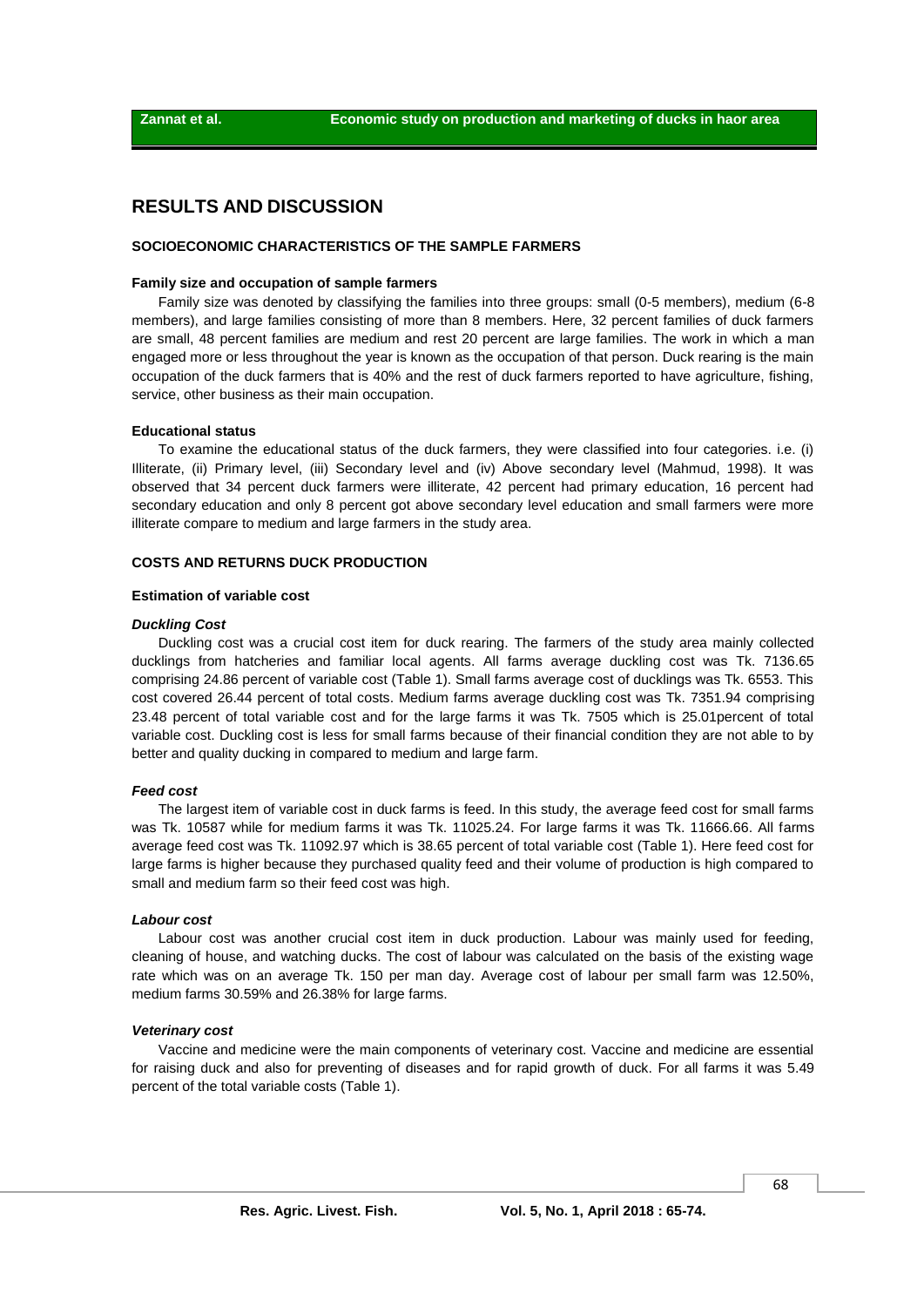## **RESULTS AND DISCUSSION**

## **SOCIOECONOMIC CHARACTERISTICS OF THE SAMPLE FARMERS**

#### **Family size and occupation of sample farmers**

Family size was denoted by classifying the families into three groups: small (0-5 members), medium (6-8 members), and large families consisting of more than 8 members. Here, 32 percent families of duck farmers are small, 48 percent families are medium and rest 20 percent are large families. The work in which a man engaged more or less throughout the year is known as the occupation of that person. Duck rearing is the main occupation of the duck farmers that is 40% and the rest of duck farmers reported to have agriculture, fishing, service, other business as their main occupation.

#### **Educational status**

To examine the educational status of the duck farmers, they were classified into four categories. i.e. (i) Illiterate, (ii) Primary level, (iii) Secondary level and (iv) Above secondary level (Mahmud, 1998). It was observed that 34 percent duck farmers were illiterate, 42 percent had primary education, 16 percent had secondary education and only 8 percent got above secondary level education and small farmers were more illiterate compare to medium and large farmers in the study area.

#### **COSTS AND RETURNS DUCK PRODUCTION**

#### **Estimation of variable cost**

#### *Duckling Cost*

Duckling cost was a crucial cost item for duck rearing. The farmers of the study area mainly collected ducklings from hatcheries and familiar local agents. All farms average duckling cost was Tk. 7136.65 comprising 24.86 percent of variable cost (Table 1). Small farms average cost of ducklings was Tk. 6553. This cost covered 26.44 percent of total costs. Medium farms average duckling cost was Tk. 7351.94 comprising 23.48 percent of total variable cost and for the large farms it was Tk. 7505 which is 25.01percent of total variable cost. Duckling cost is less for small farms because of their financial condition they are not able to by better and quality ducking in compared to medium and large farm.

#### *Feed cost*

The largest item of variable cost in duck farms is feed. In this study, the average feed cost for small farms was Tk. 10587 while for medium farms it was Tk. 11025.24. For large farms it was Tk. 11666.66. All farms average feed cost was Tk. 11092.97 which is 38.65 percent of total variable cost (Table 1). Here feed cost for large farms is higher because they purchased quality feed and their volume of production is high compared to small and medium farm so their feed cost was high.

#### *Labour cost*

Labour cost was another crucial cost item in duck production. Labour was mainly used for feeding, cleaning of house, and watching ducks. The cost of labour was calculated on the basis of the existing wage rate which was on an average Tk. 150 per man day. Average cost of labour per small farm was 12.50%, medium farms 30.59% and 26.38% for large farms.

#### *Veterinary cost*

Vaccine and medicine were the main components of veterinary cost. Vaccine and medicine are essential for raising duck and also for preventing of diseases and for rapid growth of duck. For all farms it was 5.49 percent of the total variable costs (Table 1).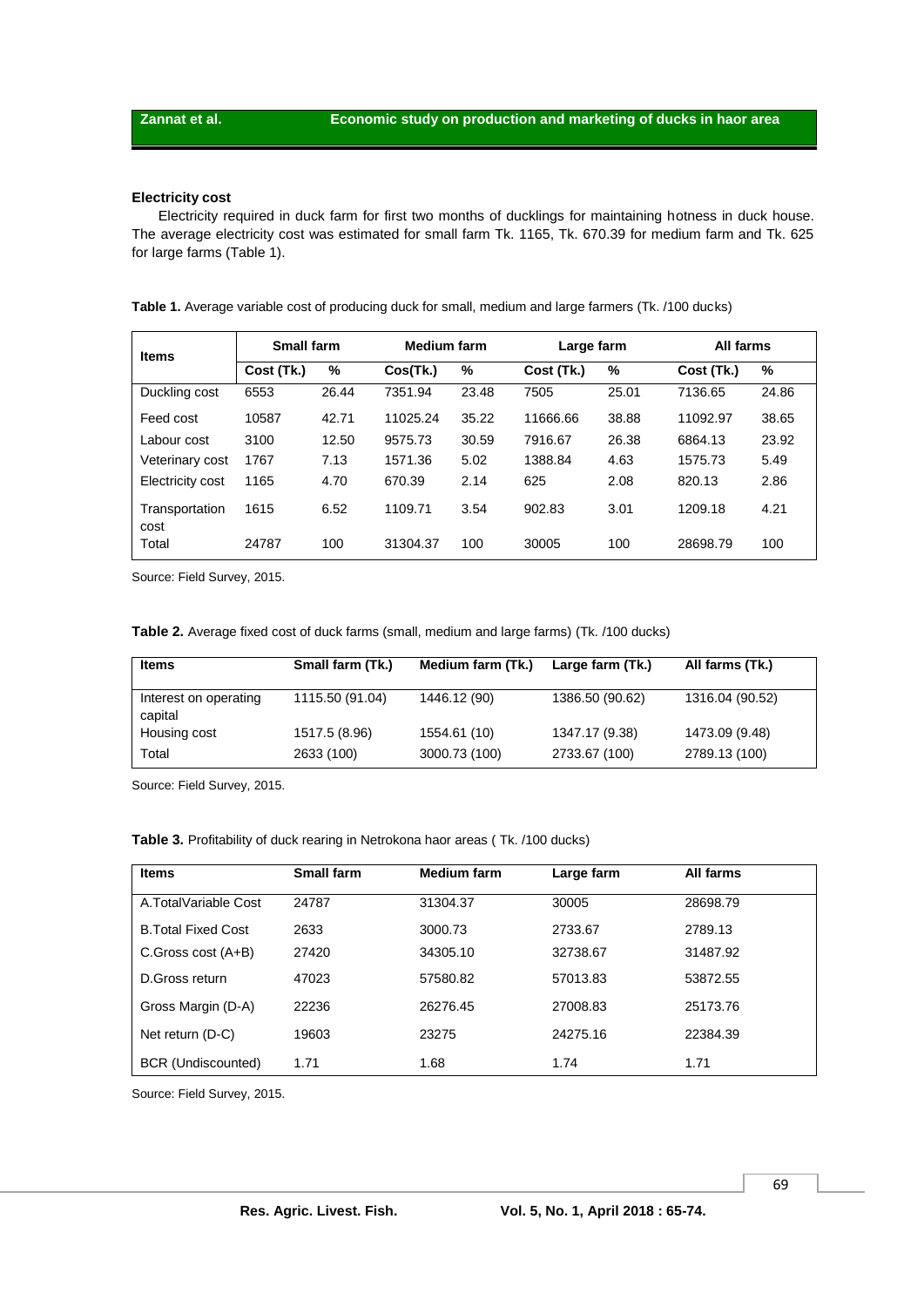## **Electricity cost**

Electricity required in duck farm for first two months of ducklings for maintaining hotness in duck house. The average electricity cost was estimated for small farm Tk. 1165, Tk. 670.39 for medium farm and Tk. 625 for large farms (Table 1).

| Table 1. Average variable cost of producing duck for small, medium and large farmers (Tk. /100 ducks) |  |  |
|-------------------------------------------------------------------------------------------------------|--|--|
|                                                                                                       |  |  |

| <b>Items</b>           | Small farm |       | <b>Medium farm</b> |       | Large farm |       | All farms  |       |
|------------------------|------------|-------|--------------------|-------|------------|-------|------------|-------|
|                        | Cost (Tk.) | %     | Cos(Tk.)           | %     | Cost (Tk.) | %     | Cost (Tk.) | %     |
| Duckling cost          | 6553       | 26.44 | 7351.94            | 23.48 | 7505       | 25.01 | 7136.65    | 24.86 |
| Feed cost              | 10587      | 42.71 | 11025.24           | 35.22 | 11666.66   | 38.88 | 11092.97   | 38.65 |
| Labour cost            | 3100       | 12.50 | 9575.73            | 30.59 | 7916.67    | 26.38 | 6864.13    | 23.92 |
| Veterinary cost        | 1767       | 7.13  | 1571.36            | 5.02  | 1388.84    | 4.63  | 1575.73    | 5.49  |
| Electricity cost       | 1165       | 4.70  | 670.39             | 2.14  | 625        | 2.08  | 820.13     | 2.86  |
| Transportation<br>cost | 1615       | 6.52  | 1109.71            | 3.54  | 902.83     | 3.01  | 1209.18    | 4.21  |
| Total                  | 24787      | 100   | 31304.37           | 100   | 30005      | 100   | 28698.79   | 100   |

Source: Field Survey, 2015.

| <b>Items</b>                     | Small farm (Tk.) | Medium farm (Tk.) | Large farm (Tk.) | All farms (Tk.) |
|----------------------------------|------------------|-------------------|------------------|-----------------|
| Interest on operating<br>capital | 1115.50 (91.04)  | 1446.12 (90)      | 1386.50 (90.62)  | 1316.04 (90.52) |
| Housing cost                     | 1517.5 (8.96)    | 1554.61 (10)      | 1347.17 (9.38)   | 1473.09 (9.48)  |
| Total                            | 2633 (100)       | 3000.73 (100)     | 2733.67 (100)    | 2789.13 (100)   |

Source: Field Survey, 2015.

|  |  | Table 3. Profitability of duck rearing in Netrokona haor areas (Tk. /100 ducks) |  |
|--|--|---------------------------------------------------------------------------------|--|
|--|--|---------------------------------------------------------------------------------|--|

| <b>Items</b>               | Small farm | <b>Medium farm</b> | Large farm | All farms |  |
|----------------------------|------------|--------------------|------------|-----------|--|
| A.TotalVariable Cost       | 24787      | 31304.37           | 30005      | 28698.79  |  |
| <b>B. Total Fixed Cost</b> | 2633       | 3000.73            | 2733.67    | 2789.13   |  |
| C.Gross cost (A+B)         | 27420      | 34305.10           | 32738.67   | 31487.92  |  |
| D.Gross return             | 47023      | 57580.82           | 57013.83   | 53872.55  |  |
| Gross Margin (D-A)         | 22236      | 26276.45           | 27008.83   | 25173.76  |  |
| Net return (D-C)           | 19603      | 23275              | 24275.16   | 22384.39  |  |
| BCR (Undiscounted)         | 1.71       | 1.68               | 1.74       | 1.71      |  |

Source: Field Survey, 2015.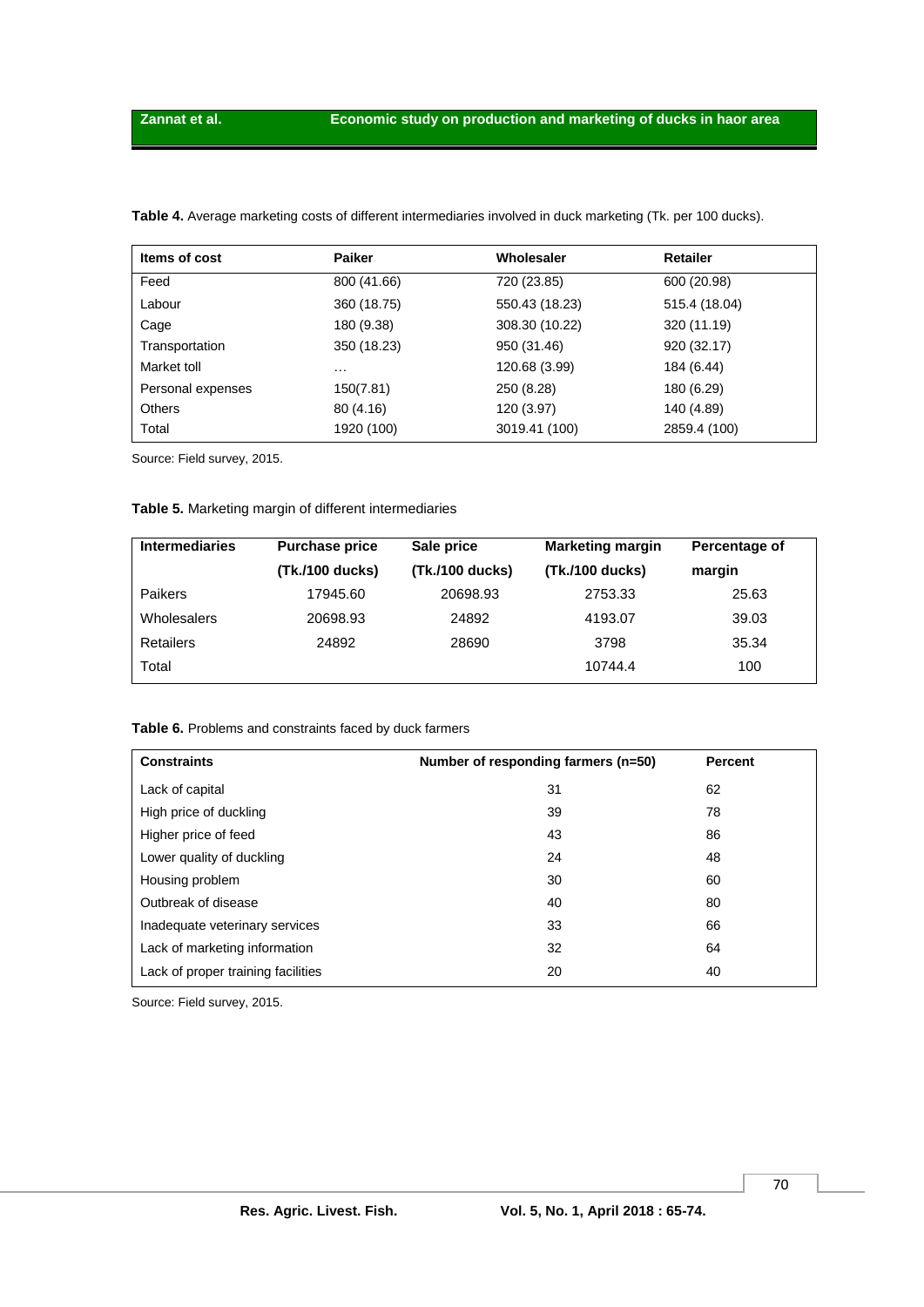| Items of cost     | <b>Paiker</b> | Wholesaler     | <b>Retailer</b> |
|-------------------|---------------|----------------|-----------------|
| Feed              | 800 (41.66)   | 720 (23.85)    | 600 (20.98)     |
| Labour            | 360 (18.75)   | 550.43 (18.23) | 515.4 (18.04)   |
| Cage              | 180 (9.38)    | 308.30 (10.22) | 320 (11.19)     |
| Transportation    | 350 (18.23)   | 950 (31.46)    | 920 (32.17)     |
| Market toll       | $\cdots$      | 120.68 (3.99)  | 184 (6.44)      |
| Personal expenses | 150(7.81)     | 250 (8.28)     | 180 (6.29)      |
| <b>Others</b>     | 80 (4.16)     | 120 (3.97)     | 140 (4.89)      |
| Total             | 1920 (100)    | 3019.41 (100)  | 2859.4 (100)    |

**Table 4.** Average marketing costs of different intermediaries involved in duck marketing (Tk. per 100 ducks).

Source: Field survey, 2015.

## **Table 5.** Marketing margin of different intermediaries

| <b>Intermediaries</b> | <b>Purchase price</b> | Sale price      | <b>Marketing margin</b> | Percentage of |
|-----------------------|-----------------------|-----------------|-------------------------|---------------|
|                       | (Tk./100 ducks)       | (Tk./100 ducks) | (Tk./100 ducks)         | margin        |
| <b>Paikers</b>        | 17945.60              | 20698.93        | 2753.33                 | 25.63         |
| <b>Wholesalers</b>    | 20698.93              | 24892           | 4193.07                 | 39.03         |
| <b>Retailers</b>      | 24892                 | 28690           | 3798                    | 35.34         |
| Total                 |                       |                 | 10744.4                 | 100           |

### **Table 6.** Problems and constraints faced by duck farmers

| <b>Constraints</b>                 | Number of responding farmers (n=50) | Percent |
|------------------------------------|-------------------------------------|---------|
| Lack of capital                    | 31                                  | 62      |
| High price of duckling             | 39                                  | 78      |
| Higher price of feed               | 43                                  | 86      |
| Lower quality of duckling          | 24                                  | 48      |
| Housing problem                    | 30                                  | 60      |
| Outbreak of disease                | 40                                  | 80      |
| Inadequate veterinary services     | 33                                  | 66      |
| Lack of marketing information      | 32                                  | 64      |
| Lack of proper training facilities | 20                                  | 40      |

Source: Field survey, 2015.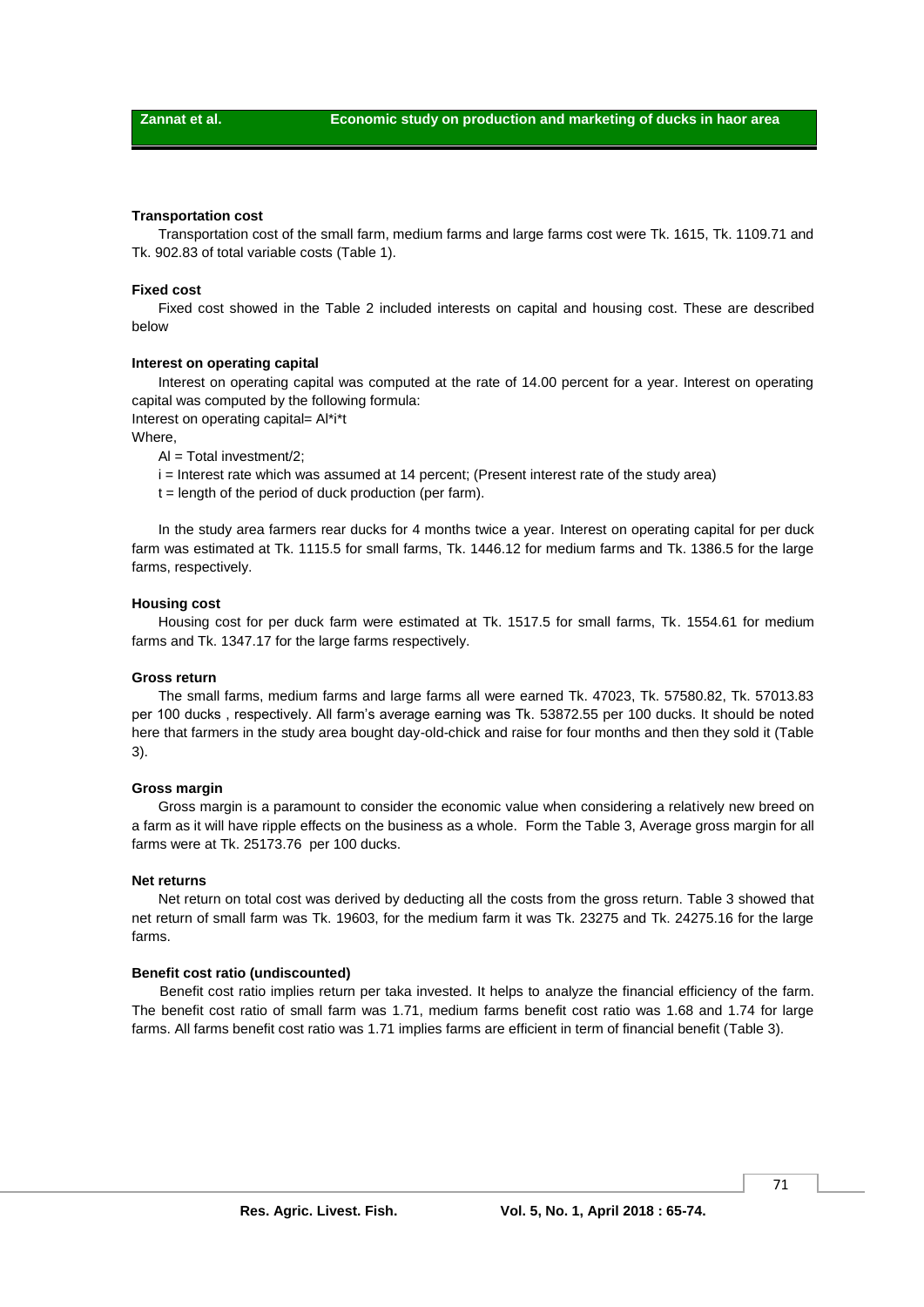#### **Transportation cost**

Transportation cost of the small farm, medium farms and large farms cost were Tk. 1615, Tk. 1109.71 and Tk. 902.83 of total variable costs (Table 1).

#### **Fixed cost**

Fixed cost showed in the Table 2 included interests on capital and housing cost. These are described below

#### **Interest on operating capital**

Interest on operating capital was computed at the rate of 14.00 percent for a year. Interest on operating capital was computed by the following formula:

Interest on operating capital= Al\*i\*t

Where

 $Al = Total investment/2$ ;

i = Interest rate which was assumed at 14 percent; (Present interest rate of the study area)

 $t =$  length of the period of duck production (per farm).

In the study area farmers rear ducks for 4 months twice a year. Interest on operating capital for per duck farm was estimated at Tk. 1115.5 for small farms, Tk. 1446.12 for medium farms and Tk. 1386.5 for the large farms, respectively.

#### **Housing cost**

Housing cost for per duck farm were estimated at Tk. 1517.5 for small farms, Tk. 1554.61 for medium farms and Tk. 1347.17 for the large farms respectively.

#### **Gross return**

The small farms, medium farms and large farms all were earned Tk. 47023, Tk. 57580.82, Tk. 57013.83 per 100 ducks , respectively. All farm's average earning was Tk. 53872.55 per 100 ducks. It should be noted here that farmers in the study area bought day-old-chick and raise for four months and then they sold it (Table 3).

#### **Gross margin**

Gross margin is a paramount to consider the economic value when considering a relatively new breed on a farm as it will have ripple effects on the business as a whole. Form the Table 3, Average gross margin for all farms were at Tk. 25173.76 per 100 ducks.

#### **Net returns**

Net return on total cost was derived by deducting all the costs from the gross return. Table 3 showed that net return of small farm was Tk. 19603, for the medium farm it was Tk. 23275 and Tk. 24275.16 for the large farms.

#### **Benefit cost ratio (undiscounted)**

Benefit cost ratio implies return per taka invested. It helps to analyze the financial efficiency of the farm. The benefit cost ratio of small farm was 1.71, medium farms benefit cost ratio was 1.68 and 1.74 for large farms. All farms benefit cost ratio was 1.71 implies farms are efficient in term of financial benefit (Table 3).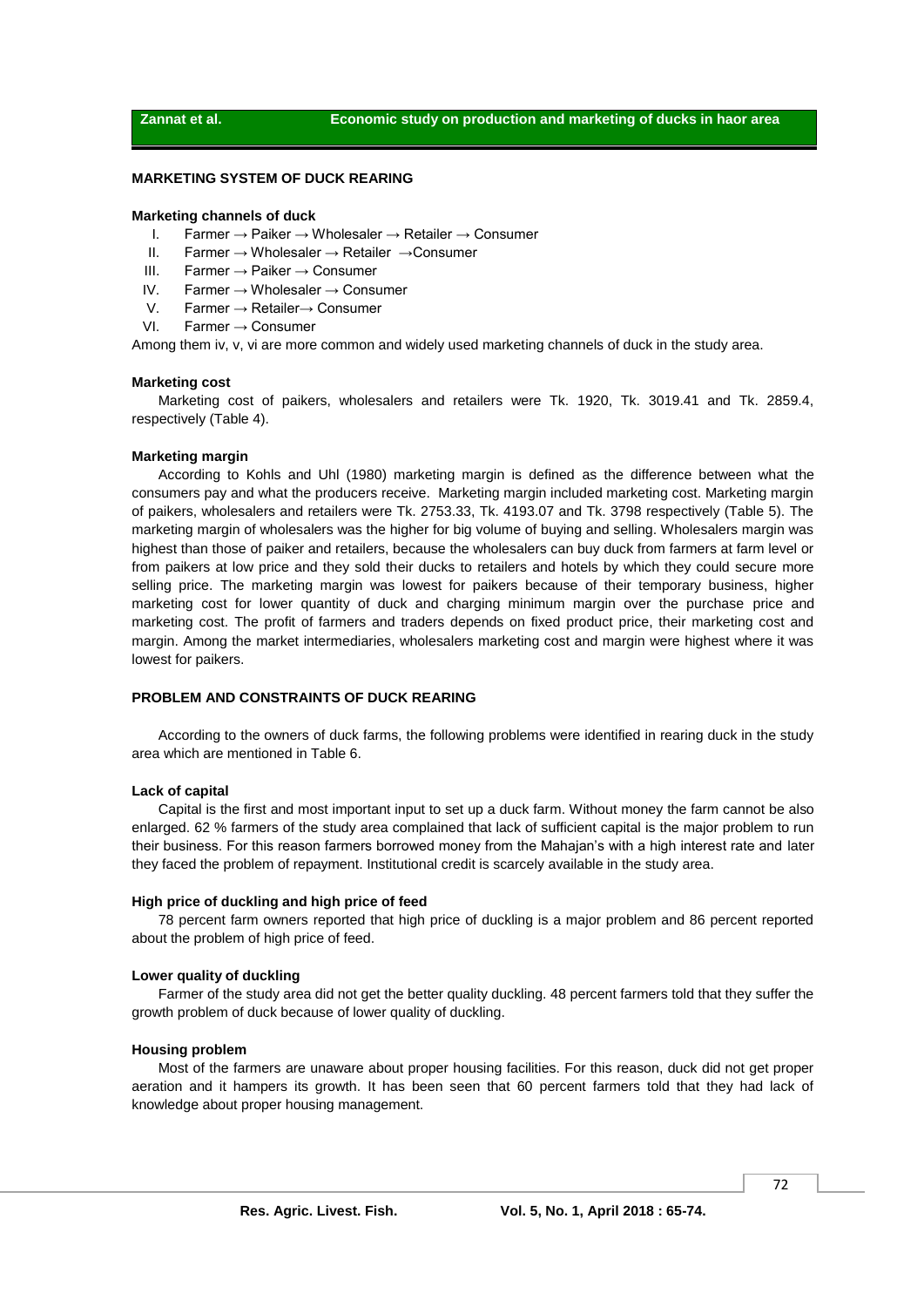#### **MARKETING SYSTEM OF DUCK REARING**

#### **Marketing channels of duck**

- I. Farmer → Paiker → Wholesaler → Retailer → Consumer
- II. Farmer → Wholesaler → Retailer →Consumer
- III. Farmer → Paiker → Consumer
- IV. Farmer → Wholesaler → Consumer
- V. Farmer → Retailer→ Consumer
- VI. Farmer → Consumer

Among them iv, v, vi are more common and widely used marketing channels of duck in the study area.

#### **Marketing cost**

Marketing cost of paikers, wholesalers and retailers were Tk. 1920, Tk. 3019.41 and Tk. 2859.4, respectively (Table 4).

#### **Marketing margin**

According to Kohls and Uhl (1980) marketing margin is defined as the difference between what the consumers pay and what the producers receive. Marketing margin included marketing cost. Marketing margin of paikers, wholesalers and retailers were Tk. 2753.33, Tk. 4193.07 and Tk. 3798 respectively (Table 5). The marketing margin of wholesalers was the higher for big volume of buying and selling. Wholesalers margin was highest than those of paiker and retailers, because the wholesalers can buy duck from farmers at farm level or from paikers at low price and they sold their ducks to retailers and hotels by which they could secure more selling price. The marketing margin was lowest for paikers because of their temporary business, higher marketing cost for lower quantity of duck and charging minimum margin over the purchase price and marketing cost. The profit of farmers and traders depends on fixed product price, their marketing cost and margin. Among the market intermediaries, wholesalers marketing cost and margin were highest where it was lowest for paikers.

#### **PROBLEM AND CONSTRAINTS OF DUCK REARING**

According to the owners of duck farms, the following problems were identified in rearing duck in the study area which are mentioned in Table 6.

#### **Lack of capital**

Capital is the first and most important input to set up a duck farm. Without money the farm cannot be also enlarged. 62 % farmers of the study area complained that lack of sufficient capital is the major problem to run their business. For this reason farmers borrowed money from the Mahajan's with a high interest rate and later they faced the problem of repayment. Institutional credit is scarcely available in the study area.

#### **High price of duckling and high price of feed**

78 percent farm owners reported that high price of duckling is a major problem and 86 percent reported about the problem of high price of feed.

#### **Lower quality of duckling**

Farmer of the study area did not get the better quality duckling. 48 percent farmers told that they suffer the growth problem of duck because of lower quality of duckling.

#### **Housing problem**

Most of the farmers are unaware about proper housing facilities. For this reason, duck did not get proper aeration and it hampers its growth. It has been seen that 60 percent farmers told that they had lack of knowledge about proper housing management.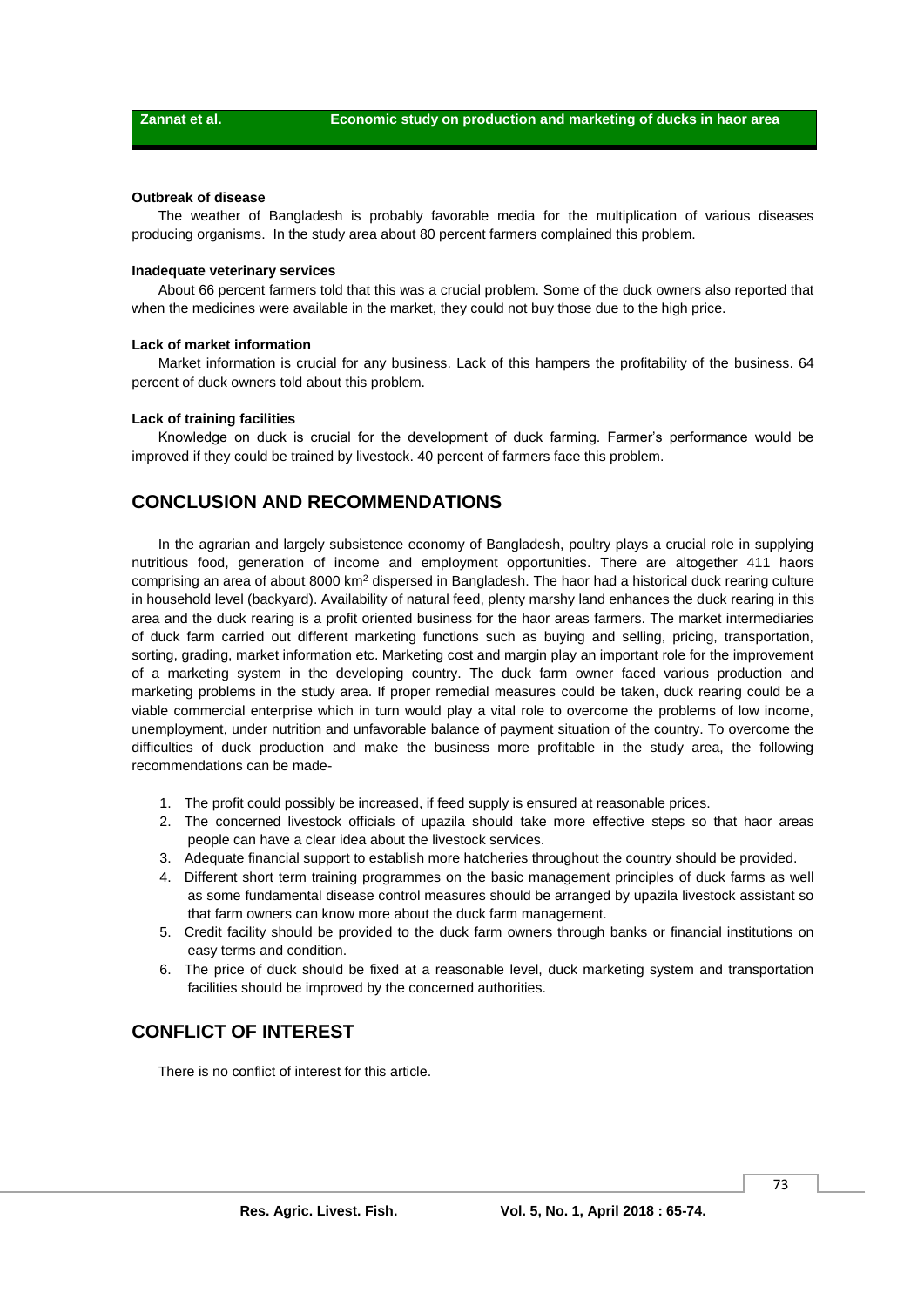#### **Outbreak of disease**

The weather of Bangladesh is probably favorable media for the multiplication of various diseases producing organisms. In the study area about 80 percent farmers complained this problem.

#### **Inadequate veterinary services**

About 66 percent farmers told that this was a crucial problem. Some of the duck owners also reported that when the medicines were available in the market, they could not buy those due to the high price.

#### **Lack of market information**

Market information is crucial for any business. Lack of this hampers the profitability of the business. 64 percent of duck owners told about this problem.

#### **Lack of training facilities**

Knowledge on duck is crucial for the development of duck farming. Farmer's performance would be improved if they could be trained by livestock. 40 percent of farmers face this problem.

## **CONCLUSION AND RECOMMENDATIONS**

In the agrarian and largely subsistence economy of Bangladesh, poultry plays a crucial role in supplying nutritious food, generation of income and employment opportunities. There are altogether 411 haors comprising an area of about 8000 km<sup>2</sup> dispersed in Bangladesh. The haor had a historical duck rearing culture in household level (backyard). Availability of natural feed, plenty marshy land enhances the duck rearing in this area and the duck rearing is a profit oriented business for the haor areas farmers. The market intermediaries of duck farm carried out different marketing functions such as buying and selling, pricing, transportation, sorting, grading, market information etc. Marketing cost and margin play an important role for the improvement of a marketing system in the developing country. The duck farm owner faced various production and marketing problems in the study area. If proper remedial measures could be taken, duck rearing could be a viable commercial enterprise which in turn would play a vital role to overcome the problems of low income, unemployment, under nutrition and unfavorable balance of payment situation of the country. To overcome the difficulties of duck production and make the business more profitable in the study area, the following recommendations can be made-

- 1. The profit could possibly be increased, if feed supply is ensured at reasonable prices.
- 2. The concerned livestock officials of upazila should take more effective steps so that haor areas people can have a clear idea about the livestock services.
- 3. Adequate financial support to establish more hatcheries throughout the country should be provided.
- 4. Different short term training programmes on the basic management principles of duck farms as well as some fundamental disease control measures should be arranged by upazila livestock assistant so that farm owners can know more about the duck farm management.
- 5. Credit facility should be provided to the duck farm owners through banks or financial institutions on easy terms and condition.
- 6. The price of duck should be fixed at a reasonable level, duck marketing system and transportation facilities should be improved by the concerned authorities.

## **CONFLICT OF INTEREST**

There is no conflict of interest for this article.